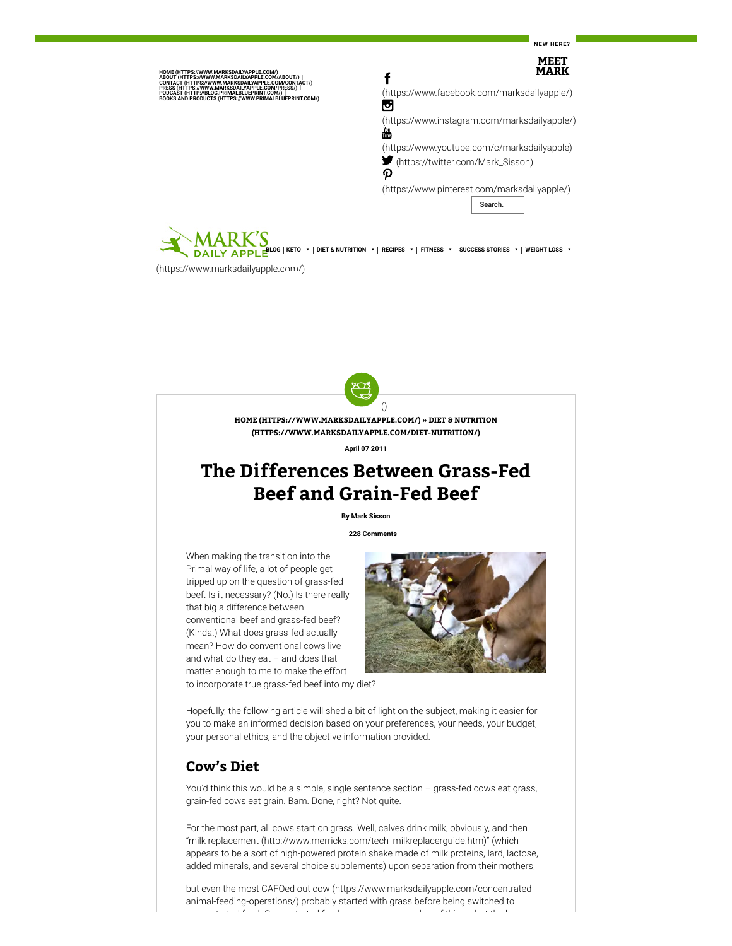**NEW HERE?**



[\(https://www.marksdailyapple.com/\)](https://www.marksdailyapple.com/)



**HOME [\(HTTPS://WWW.MARKSDAILYAPPLE.COM/\)](https://www.marksdailyapple.com/) » DIET & NUTRITION [\(HTTPS://WWW.MARKSDAILYAPPLE.COM/DIET-NUTRITION/\)](https://www.marksdailyapple.com/diet-nutrition/)**

**April 07 2011**

# **The Differences Between Grass-Fed Beef and Grain-Fed Beef**

**By Mark Sisson**

**[228 Comments](#page-4-0)**

When making the transition into the Primal way of life, a lot of people get tripped up on the question of grass-fed beef. Is it necessary? (No.) Is there really that big a difference between conventional beef and grass-fed beef? (Kinda.) What does grass-fed actually mean? How do conventional cows live and what do they eat – and does that matter enough to me to make the effort to incorporate true grass-fed beef into my diet?



Hopefully, the following article will shed a bit of light on the subject, making it easier for you to make an informed decision based on your preferences, your needs, your budget, your personal ethics, and the objective information provided.

## **Cow's Diet**

You'd think this would be a simple, single sentence section – grass-fed cows eat grass, grain-fed cows eat grain. Bam. Done, right? Not quite.

For the most part, all cows start on grass. Well, calves drink milk, obviously, and then ["milk replacement \(http://www.merricks.com/tech\\_milkreplacerguide.htm\)"](http://www.merricks.com/tech_milkreplacerguide.htm) (which appears to be a sort of high-powered protein shake made of milk proteins, lard, lactose, added minerals, and several choice supplements) upon separation from their mothers,

[but even the most CAFOed out cow \(https://www.marksdailyapple.com/concentrated](https://www.marksdailyapple.com/concentrated-animal-feeding-operations/)animal-feeding-operations/) probably started with grass before being switched to t t d f d C t t d f d b f thi b t th b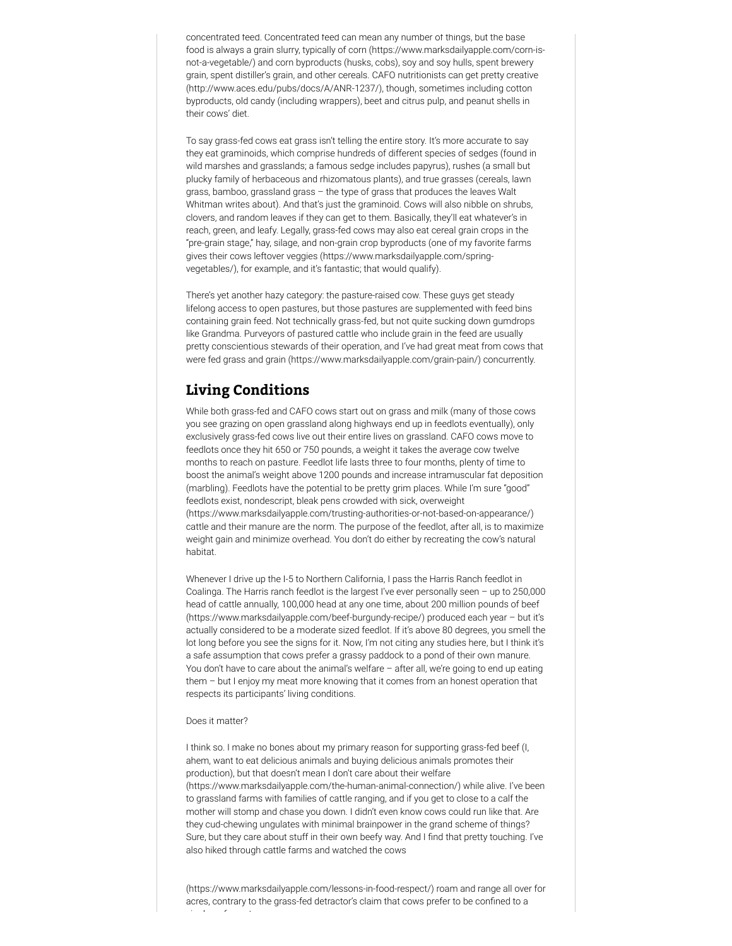concentrated feed. Concentrated feed can mean any number of things, but the base [food is always a grain slurry, typically of corn \(https://www.marksdailyapple.com/corn-is](https://www.marksdailyapple.com/corn-is-not-a-vegetable/)not-a-vegetable/) and corn byproducts (husks, cobs), soy and soy hulls, spent brewery [grain, spent distiller's grain, and other cereals. CAFO nutritionists can get pretty creative](http://www.aces.edu/pubs/docs/A/ANR-1237/) (http://www.aces.edu/pubs/docs/A/ANR-1237/), though, sometimes including cotton byproducts, old candy (including wrappers), beet and citrus pulp, and peanut shells in their cows' diet.

To say grass-fed cows eat grass isn't telling the entire story. It's more accurate to say they eat graminoids, which comprise hundreds of different species of sedges (found in wild marshes and grasslands; a famous sedge includes papyrus), rushes (a small but plucky family of herbaceous and rhizomatous plants), and true grasses (cereals, lawn grass, bamboo, grassland grass – the type of grass that produces the leaves Walt Whitman writes about). And that's just the graminoid. Cows will also nibble on shrubs, clovers, and random leaves if they can get to them. Basically, they'll eat whatever's in reach, green, and leafy. Legally, grass-fed cows may also eat cereal grain crops in the "pre-grain stage," hay, silage, and non-grain crop byproducts (one of my favorite farms [gives their cows leftover veggies \(https://www.marksdailyapple.com/spring](https://www.marksdailyapple.com/spring-vegetables/)vegetables/), for example, and it's fantastic; that would qualify).

There's yet another hazy category: the pasture-raised cow. These guys get steady lifelong access to open pastures, but those pastures are supplemented with feed bins containing grain feed. Not technically grass-fed, but not quite sucking down gumdrops like Grandma. Purveyors of pastured cattle who include grain in the feed are usually pretty conscientious stewards of their operation, and I've had great meat from cows that were fed grass and [grain \(https://www.marksdailyapple.com/grain-pain/\)](https://www.marksdailyapple.com/grain-pain/) concurrently.

# **Living Conditions**

While both grass-fed and CAFO cows start out on grass and milk (many of those cows you see grazing on open grassland along highways end up in feedlots eventually), only exclusively grass-fed cows live out their entire lives on grassland. CAFO cows move to feedlots once they hit 650 or 750 pounds, a weight it takes the average cow twelve months to reach on pasture. Feedlot life lasts three to four months, plenty of time to boost the animal's weight above 1200 pounds and increase intramuscular fat deposition (marbling). Feedlots have the potential to be pretty grim places. While I'm sure "good" feedlots exist, nondescript, bleak pens crowded with sick, overweight [\(https://www.marksdailyapple.com/trusting-authorities-or-not-based-on-appearance/\)](https://www.marksdailyapple.com/trusting-authorities-or-not-based-on-appearance/) cattle and their manure are the norm. The purpose of the feedlot, after all, is to maximize weight gain and minimize overhead. You don't do either by recreating the cow's natural habitat.

Whenever I drive up the I-5 to Northern California, I pass the Harris Ranch feedlot in Coalinga. The Harris ranch feedlot is the largest I've ever personally seen – up to 250,000 head of cattle annually, 100,000 head at any one time, about 200 million pounds of beef [\(https://www.marksdailyapple.com/beef-burgundy-recipe/\) produced each year – but it's](https://www.marksdailyapple.com/beef-burgundy-recipe/) actually considered to be a moderate sized feedlot. If it's above 80 degrees, you smell the lot long before you see the signs for it. Now, I'm not citing any studies here, but I think it's a safe assumption that cows prefer a grassy paddock to a pond of their own manure. You don't have to care about the animal's welfare – after all, we're going to end up eating them – but I enjoy my meat more knowing that it comes from an honest operation that respects its participants' living conditions.

#### Does it matter?

I think so. I make no bones about my primary reason for supporting grass-fed beef (I, ahem, want to eat delicious animals and buying delicious animals promotes their production), but that doesn't mean I don't care about their welfare [\(https://www.marksdailyapple.com/the-human-animal-connection/\)](https://www.marksdailyapple.com/the-human-animal-connection/) while alive. I've been to grassland farms with families of cattle ranging, and if you get to close to a calf the mother will stomp and chase you down. I didn't even know cows could run like that. Are they cud-chewing ungulates with minimal brainpower in the grand scheme of things? Sure, but they care about stuff in their own beefy way. And I find that pretty touching. I've also hiked through cattle farms and watched the cows

[\(https://www.marksdailyapple.com/lessons-in-food-respect/\)](https://www.marksdailyapple.com/lessons-in-food-respect/) roam and range all over for acres, contrary to the grass-fed detractor's claim that cows prefer to be confined to a i l f t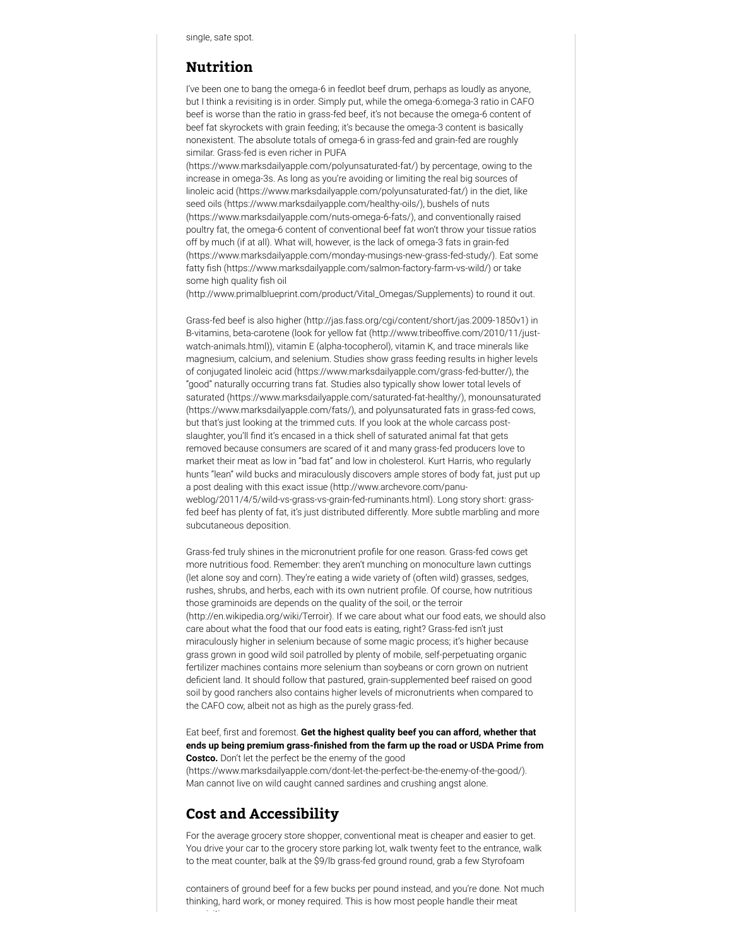### **Nutrition**

I've been one to bang the omega-6 in feedlot beef drum, perhaps as loudly as anyone, but I think a revisiting is in order. Simply put, while the omega-6:omega-3 ratio in CAFO beef is worse than the ratio in grass-fed beef, it's not because the omega-6 content of beef fat skyrockets with grain feeding; it's because the omega-3 content is basically nonexistent. The absolute totals of omega-6 in grass-fed and grain-fed are roughly similar. Grass-fed is even richer in PUFA

[\(https://www.marksdailyapple.com/polyunsaturated-fat/\)](https://www.marksdailyapple.com/polyunsaturated-fat/) by percentage, owing to the increase in omega-3s. As long as you're avoiding or limiting the real big sources of [linoleic acid \(https://www.marksdailyapple.com/polyunsaturated-fat/\)](https://www.marksdailyapple.com/polyunsaturated-fat/) in the diet, like [seed oils \(https://www.marksdailyapple.com/healthy-oils/](https://www.marksdailyapple.com/healthy-oils/)[\), bushels of nuts](https://www.marksdailyapple.com/nuts-omega-6-fats/) (https://www.marksdailyapple.com/nuts-omega-6-fats/), and conventionally raised poultry fat, the omega-6 content of conventional beef fat won't throw your tissue ratios off by much (if at all). What will, however, is the lack of omega-3 fats in grain-fed [\(https://www.marksdailyapple.com/monday-musings-new-grass-fed-study/\). Ea](https://www.marksdailyapple.com/monday-musings-new-grass-fed-study/)t some fatty fish (https://www.marksdailyapple.com/salmon-factory-farm-vs-wild/) or take some high quality fish oil

[\(http://www.primalblueprint.com/product/Vital\\_Omegas/Supplements\)](http://www.primalblueprint.com/product/Vital_Omegas/Supplements) to round it out.

Grass-fed beef [is also higher \(http://jas.fass.org/cgi/content/short/jas.2009-1850v1\)](http://jas.fass.org/cgi/content/short/jas.2009-1850v1) in B-vitamins, beta-carotene (look for yellow fat (http://www.tribeoffive.com/2010/11/justwatch-animals.html)), vitamin E (alpha-tocopherol), vitamin K, and trace minerals like magnesium, calcium, and selenium. Studies show grass feeding results in higher levels of [conjugated linoleic acid \(https://www.marksdailyapple.com/grass-fed-butter/\),](https://www.marksdailyapple.com/grass-fed-butter/) the "good" naturally occurring trans fat. Studies also typically show lower total levels of [saturated \(https://www.marksdailyapple.com/saturated-fat-healthy/\)](https://www.marksdailyapple.com/saturated-fat-healthy/)[, monounsaturated](https://www.marksdailyapple.com/fats/) (https://www.marksdailyapple.com/fats/), and polyunsaturated fats in grass-fed cows, but that's just looking at the trimmed cuts. If you look at the whole carcass postslaughter, you'll find it's encased in a thick shell of saturated animal fat that gets removed because consumers are scared of it and many grass-fed producers love to market their meat as low in "bad fat" and low in cholesterol. Kurt Harris, who regularly hunts "lean" wild bucks and miraculously discovers ample stores of body fat, just put up a post dealing with this exact issue (http://www.archevore.com/panu[weblog/2011/4/5/wild-vs-grass-vs-grain-fed-ruminants.html\). Long sto](http://www.archevore.com/panu-weblog/2011/4/5/wild-vs-grass-vs-grain-fed-ruminants.html)ry short: grassfed beef has plenty of fat, it's just distributed differently. More subtle marbling and more subcutaneous deposition.

Grass-fed truly shines in the micronutrient profile for one reason. Grass-fed cows get more nutritious food. Remember: they aren't munching on monoculture lawn cuttings (let alone soy and corn). They're eating a wide variety of (often wild) grasses, sedges, rushes, shrubs, and herbs, each with its own nutrient prole. Of course, how nutritious those graminoids are depends on the quality of the soil, or the terroir [\(http://en.wikipedia.org/wiki/Terroir\). If we care about what our food](http://en.wikipedia.org/wiki/Terroir) eats, we should also care about what the food that our food eats is eating, right? Grass-fed isn't just miraculously higher in selenium because of some magic process; it's higher because grass grown in good wild soil patrolled by plenty of mobile, self-perpetuating organic fertilizer machines contains more selenium than soybeans or corn grown on nutrient deficient land. It should follow that pastured, grain-supplemented beef raised on good soil by good ranchers also contains higher levels of micronutrients when compared to the CAFO cow, albeit not as high as the purely grass-fed.

#### Eat beef, first and foremost. Get the highest quality beef you can afford, whether that ends up being premium grass-finished from the farm up the road or USDA Prime from **Costco.** Don't let the perfect be the enemy of the good

[\(https://www.marksdailyapple.com/dont-let-the-perfect-be-the-enemy-of-the-good/\).](https://www.marksdailyapple.com/dont-let-the-perfect-be-the-enemy-of-the-good/) Man cannot live on wild caught canned sardines and crushing angst alone.

### **Cost and Accessibility**

i iti

For the average grocery store shopper, conventional meat is cheaper and easier to get. You drive your car to the grocery store parking lot, walk twenty feet to the entrance, walk to the meat counter, balk at the \$9/lb grass-fed ground round, grab a few Styrofoam

containers of ground beef for a few bucks per pound instead, and you're done. Not much thinking, hard work, or money required. This is how most people handle their meat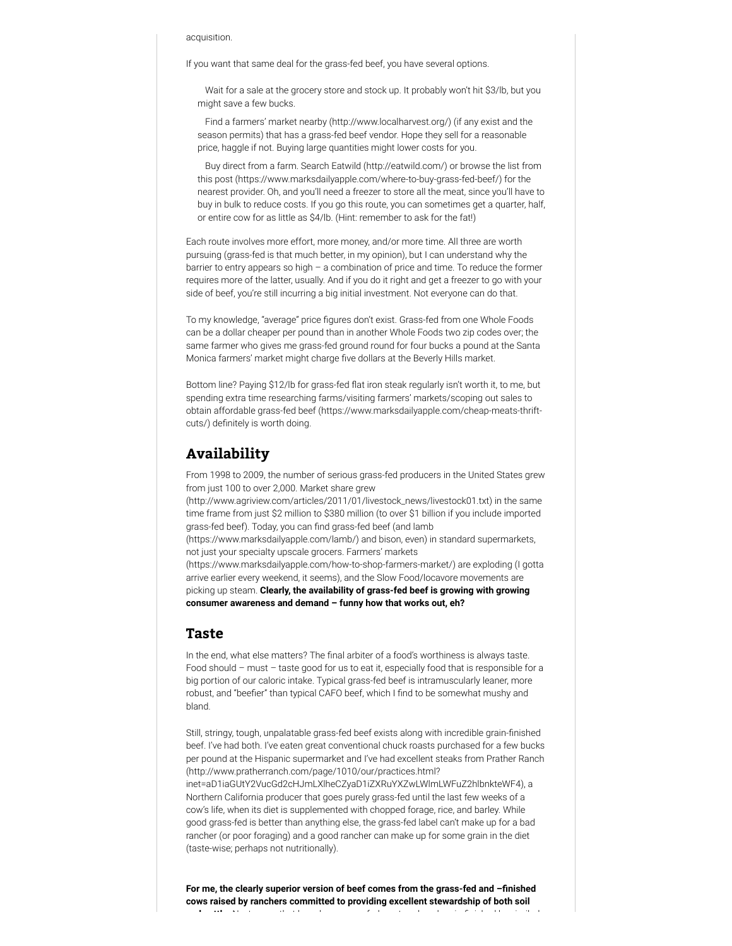#### acquisition.

If you want that same deal for the grass-fed beef, you have several options.

Wait for a sale at the grocery store and stock up. It probably won't hit \$3/lb, but you might save a few bucks.

[Find a farmers' market nearby \(http://www.localharvest.org/\)](http://www.localharvest.org/) (if any exist and the season permits) that has a grass-fed beef vendor. Hope they sell for a reasonable price, haggle if not. Buying large quantities might lower costs for you.

[Buy direct from a farm. Search E](https://www.marksdailyapple.com/where-to-buy-grass-fed-beef/)[atwild \(http://eatwild.com/\)](http://eatwild.com/) [or browse the list from](https://www.marksdailyapple.com/where-to-buy-grass-fed-beef/) this post (https://www.marksdailyapple.com/where-to-buy-grass-fed-beef/) for the nearest provider. Oh, and you'll need a freezer to store all the meat, since you'll have to buy in bulk to reduce costs. If you go this route, you can sometimes get a quarter, half, or entire cow for as little as \$4/lb. (Hint: remember to ask for the fat!)

Each route involves more effort, more money, and/or more time. All three are worth pursuing (grass-fed is that much better, in my opinion), but I can understand why the barrier to entry appears so high – a combination of price and time. To reduce the former requires more of the latter, usually. And if you do it right and get a freezer to go with your side of beef, you're still incurring a big initial investment. Not everyone can do that.

To my knowledge, "average" price figures don't exist. Grass-fed from one Whole Foods can be a dollar cheaper per pound than in another Whole Foods two zip codes over; the same farmer who gives me grass-fed ground round for four bucks a pound at the Santa Monica farmers' market might charge five dollars at the Beverly Hills market.

Bottom line? Paying \$12/lb for grass-fed flat iron steak regularly isn't worth it, to me, but spending extra time researching farms/visiting farmers' markets/scoping out sales to [obtain affordable grass-fed beef \(https://www.marksdailyapple.com/cheap-meats-thrift](https://www.marksdailyapple.com/cheap-meats-thrift-cuts/)cuts/) definitely is worth doing.

### **Availability**

From 1998 to 2009, the number of serious grass-fed producers in the United States grew from just 100 to over 2,000. Market share grew

[\(http://www.agriview.com/articles/2011/01/livestock\\_news/livestock01.txt\)](http://www.agriview.com/articles/2011/01/livestock_news/livestock01.txt) in the same time frame from just \$2 million to \$380 million (to over \$1 billion if you include imported grass-fed beef). Today, you can find grass-fed beef (and lamb

(https://www.marksdailyapple.com/lamb/) and bison, even) in standard supermarkets, not just your specialty upscale grocers. Farmers' markets

[\(https://www.marksdailyapple.com/how-to-shop-farmers-market/\)](https://www.marksdailyapple.com/how-to-shop-farmers-market/) are exploding (I gotta arrive earlier every weekend, it seems), and the Slow Food/locavore movements are picking up steam. **Clearly, the availability of grass-fed beef is growing with growing consumer awareness and demand – funny how that works out, eh?**

#### **Taste**

In the end, what else matters? The final arbiter of a food's worthiness is always taste. Food should – must – taste good for us to eat it, especially food that is responsible for a big portion of our caloric intake. Typical grass-fed beef is intramuscularly leaner, more robust, and "beefier" than typical CAFO beef, which I find to be somewhat mushy and bland.

Still, stringy, tough, unpalatable grass-fed beef exists along with incredible grain-finished beef. I've had both. I've eaten great conventional chuck roasts purchased for a few bucks [per pound at the Hispanic supermarket and I've had excellent steaks from Prather Ranch](http://www.pratherranch.com/page/1010/our/practices.html?inet=aD1iaGUtY2VucGd2cHJmLXlheCZyaD1iZXRuYXZwLWlmLWFuZ2hlbnkteWF4) (http://www.pratherranch.com/page/1010/our/practices.html? inet=aD1iaGUtY2VucGd2cHJmLXlheCZyaD1iZXRuYXZwLWlmLWFuZ2hlbnkteWF4), a Northern California producer that goes purely grass-fed until the last few weeks of a cow's life, when its diet is supplemented with chopped forage, rice, and barley. While good grass-fed is better than anything else, the grass-fed label can't make up for a bad rancher (or poor foraging) and a good rancher can make up for some grain in the diet (taste-wise; perhaps not nutritionally).

For me, the clearly superior version of beef comes from the grass-fed and -finished **cows raised by ranchers committed to providing excellent stewardship of both soil** de termination and the film of the theory of distribution of the distribution of the distribution of the distribution of the distribution of the distribution of the distribution of the distribution of the distribution of t